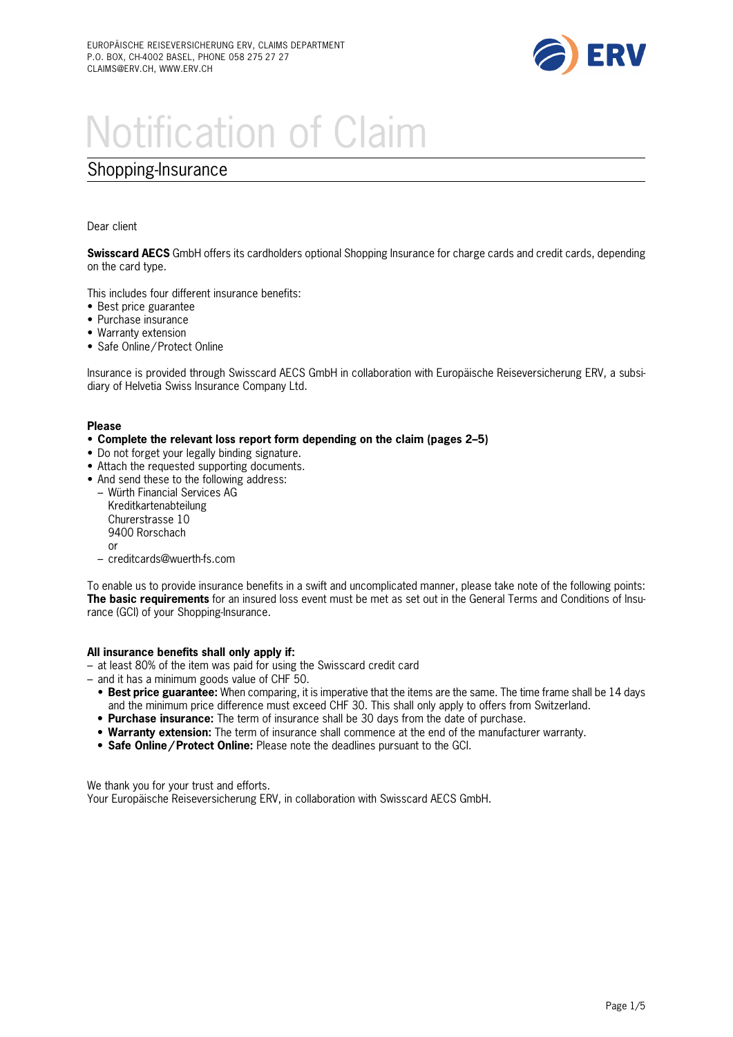

# Notification of Claim

### Shopping-Insurance

Dear client

**Swisscard AECS** GmbH offers its cardholders optional Shopping lnsurance for charge cards and credit cards, depending on the card type.

This includes four different insurance benefits:

- Best price guarantee
- Purchase insurance
- Warranty extension
- Safe Online/ Protect Online

lnsurance is provided through Swisscard AECS GmbH in collaboration with Europäische Reiseversicherung ERV, a subsidiary of Helvetia Swiss lnsurance Company Ltd.

### **Please**

- **Complete the relevant loss report form depending on the claim (pages 2–5)**
- Do not forget your legally binding signature.
- Attach the requested supporting documents.
- And send these to the following address:
	- Würth Financial Services AG Kreditkartenabteilung Churerstrasse 10 9400 Rorschach or
	- creditcards@wuerth-fs.com

To enable us to provide insurance benefits in a swift and uncomplicated manner, please take note of the following points: **The basic requirements** for an insured loss event must be met as set out in the General Terms and Conditions of lnsurance (GCI) of your Shopping-lnsurance.

#### **All insurance benefits shall only apply if:**

– at least 80% of the item was paid for using the Swisscard credit card

- and it has a minimum goods value of CHF 50.
	- **Best price guarantee:** When comparing, it is imperative that the items are the same. The time frame shall be 14 days and the minimum price difference must exceed CHF 30. This shall only apply to offers from Switzerland.
	- **Purchase insurance:** The term of insurance shall be 30 days from the date of purchase.
	- **Warranty extension:** The term of insurance shall commence at the end of the manufacturer warranty.
	- **Safe Online/Protect Online:** Please note the deadlines pursuant to the GCI.

We thank you for your trust and efforts.

Your Europäische Reiseversicherung ERV, in collaboration with Swisscard AECS GmbH.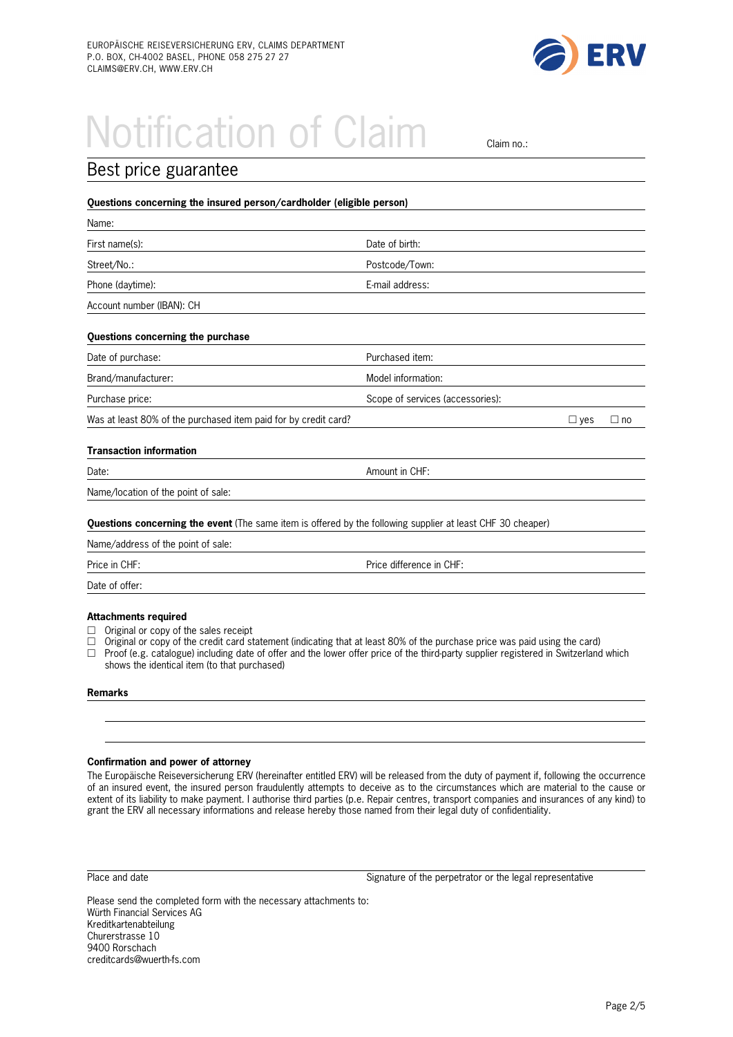

# Notification of Claim all claim no.:

| Best price guarantee                                                                                        |                                  |            |           |
|-------------------------------------------------------------------------------------------------------------|----------------------------------|------------|-----------|
| Questions concerning the insured person/cardholder (eligible person)                                        |                                  |            |           |
| Name:                                                                                                       |                                  |            |           |
| First name(s):                                                                                              | Date of birth:                   |            |           |
| Street/No.:                                                                                                 | Postcode/Town:                   |            |           |
| Phone (daytime):                                                                                            | E-mail address:                  |            |           |
| Account number (IBAN): CH                                                                                   |                                  |            |           |
| Questions concerning the purchase                                                                           |                                  |            |           |
| Date of purchase:                                                                                           | Purchased item:                  |            |           |
| Brand/manufacturer:                                                                                         | Model information:               |            |           |
| Purchase price:                                                                                             | Scope of services (accessories): |            |           |
| Was at least 80% of the purchased item paid for by credit card?                                             |                                  | $\Box$ yes | $\Box$ no |
| <b>Transaction information</b>                                                                              |                                  |            |           |
| Date:                                                                                                       | Amount in CHF:                   |            |           |
| Name/location of the point of sale:                                                                         |                                  |            |           |
| Questions concerning the event (The same item is offered by the following supplier at least CHF 30 cheaper) |                                  |            |           |
| Name/address of the point of sale:                                                                          |                                  |            |           |
| Price in CHF:                                                                                               | Price difference in CHF:         |            |           |
| Date of offer:                                                                                              |                                  |            |           |
|                                                                                                             |                                  |            |           |

#### **Attachments required**

- $\Box$  Original or copy of the sales receipt<br> $\Box$  Original or copy of the credit card st
- Original or copy of the credit card statement (indicating that at least 80% of the purchase price was paid using the card)
- $\Box$  Proof (e.g. catalogue) including date of offer and the lower offer price of the third-party supplier registered in Switzerland which shows the identical item (to that purchased)

#### **Remarks**

#### **Confirmation and power of attorney**

The Europäische Reiseversicherung ERV (hereinafter entitled ERV) will be released from the duty of payment if, following the occurrence of an insured event, the insured person fraudulently attempts to deceive as to the circumstances which are material to the cause or extent of its liability to make payment. I authorise third parties (p.e. Repair centres, transport companies and insurances of any kind) to grant the ERV all necessary informations and release hereby those named from their legal duty of confidentiality.

Place and date Signature of the perpetrator or the legal representative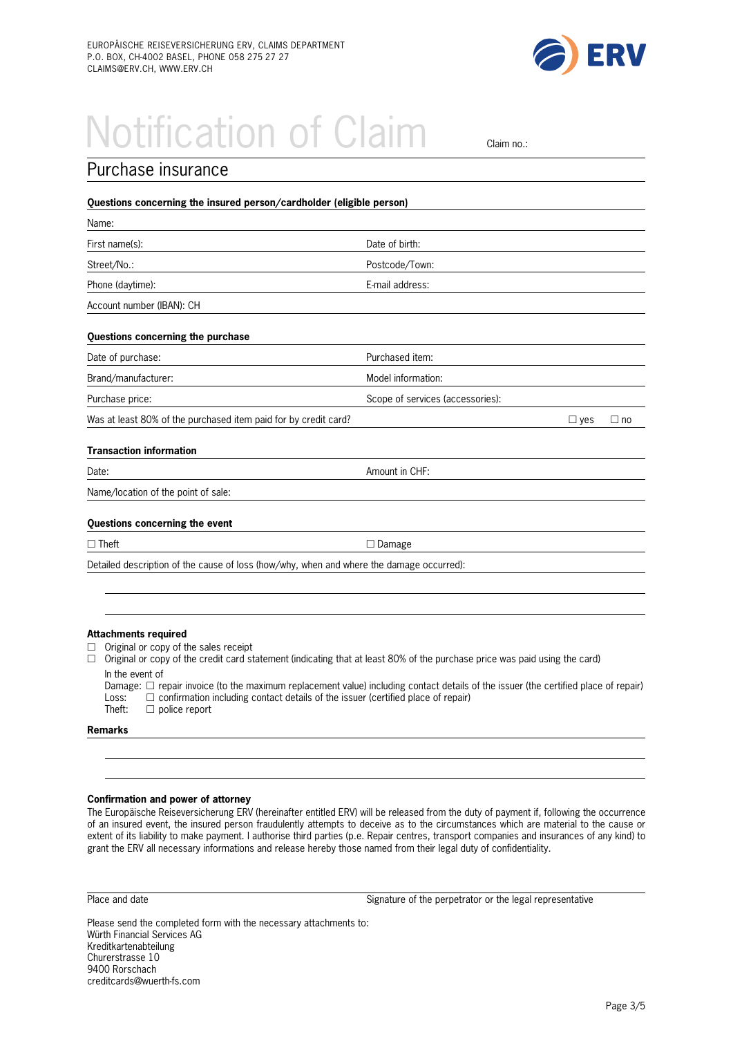

### **Notification of Claim Claim no.:**

| Purchase insurance                                                                       |                                  |            |           |
|------------------------------------------------------------------------------------------|----------------------------------|------------|-----------|
| Questions concerning the insured person/cardholder (eligible person)                     |                                  |            |           |
| Name:                                                                                    |                                  |            |           |
| First name(s):                                                                           | Date of birth:                   |            |           |
| Street/No.:                                                                              | Postcode/Town:                   |            |           |
| Phone (daytime):                                                                         | E-mail address:                  |            |           |
| Account number (IBAN): CH                                                                |                                  |            |           |
| Questions concerning the purchase                                                        |                                  |            |           |
| Date of purchase:                                                                        | Purchased item:                  |            |           |
| Brand/manufacturer:                                                                      | Model information:               |            |           |
| Purchase price:                                                                          | Scope of services (accessories): |            |           |
| Was at least 80% of the purchased item paid for by credit card?                          |                                  | $\Box$ yes | $\Box$ no |
| <b>Transaction information</b>                                                           |                                  |            |           |
| Date:                                                                                    | Amount in CHF:                   |            |           |
| Name/location of the point of sale:                                                      |                                  |            |           |
| Questions concerning the event                                                           |                                  |            |           |
| $\Box$ Theft                                                                             | $\Box$ Damage                    |            |           |
| Detailed description of the cause of loss (how/why, when and where the damage occurred): |                                  |            |           |
|                                                                                          |                                  |            |           |

#### **Attachments required**

- $\Box$  Original or copy of the sales receipt
- $\Box$  Original or copy of the credit card statement (indicating that at least 80% of the purchase price was paid using the card) In the event of
	- Damage:  $\Box$  repair invoice (to the maximum replacement value) including contact details of the issuer (the certified place of repair) Loss:  $\Box$  confirmation including contact details of the issuer (certified place of re Loss:  $\Box$  confirmation including contact details of the issuer (certified place of repair)<br>Theft:  $\Box$  police report  $\Box$  police report

**Remarks** 

#### **Confirmation and power of attorney**

The Europäische Reiseversicherung ERV (hereinafter entitled ERV) will be released from the duty of payment if, following the occurrence of an insured event, the insured person fraudulently attempts to deceive as to the circumstances which are material to the cause or extent of its liability to make payment. I authorise third parties (p.e. Repair centres, transport companies and insurances of any kind) to grant the ERV all necessary informations and release hereby those named from their legal duty of confidentiality.

Place and date Signature of the perpetrator or the legal representative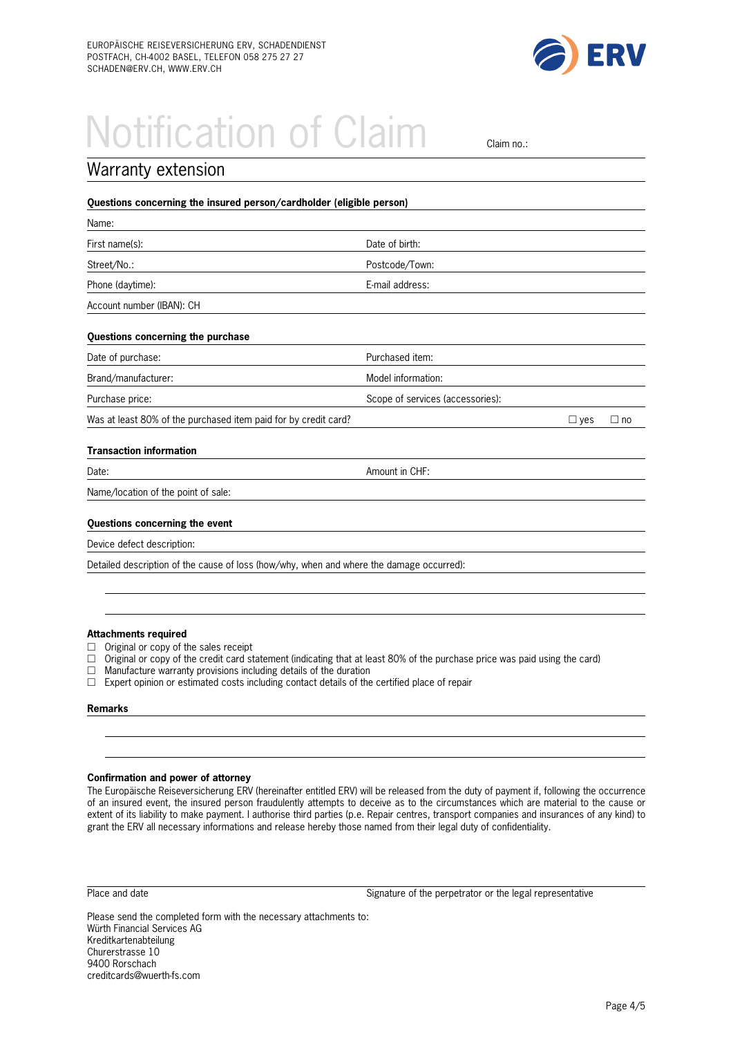

### Notification of Claim claim no.:

| Warranty extension                                                                       |                                  |            |           |
|------------------------------------------------------------------------------------------|----------------------------------|------------|-----------|
| Questions concerning the insured person/cardholder (eligible person)                     |                                  |            |           |
| Name:                                                                                    |                                  |            |           |
| First name(s):                                                                           | Date of birth:                   |            |           |
| Street/No.:                                                                              | Postcode/Town:                   |            |           |
| Phone (daytime):                                                                         | E-mail address:                  |            |           |
| Account number (IBAN): CH                                                                |                                  |            |           |
| Questions concerning the purchase                                                        |                                  |            |           |
| Date of purchase:                                                                        | Purchased item:                  |            |           |
| Brand/manufacturer:                                                                      | Model information:               |            |           |
| Purchase price:                                                                          | Scope of services (accessories): |            |           |
| Was at least 80% of the purchased item paid for by credit card?                          |                                  | $\Box$ yes | $\Box$ no |
| <b>Transaction information</b>                                                           |                                  |            |           |
| Date:                                                                                    | Amount in CHF:                   |            |           |
| Name/location of the point of sale:                                                      |                                  |            |           |
| Questions concerning the event                                                           |                                  |            |           |
| Device defect description:                                                               |                                  |            |           |
| Detailed description of the cause of loss (how/why, when and where the damage occurred): |                                  |            |           |

#### **Attachments required**

- $\Box$  Original or copy of the sales receipt
- $\Box$  Original or copy of the credit card statement (indicating that at least 80% of the purchase price was paid using the card)<br> $\Box$  Manufacture warranty provisions including details of the duration
- Manufacture warranty provisions including details of the duration
- $\Box$  Expert opinion or estimated costs including contact details of the certified place of repair

#### **Remarks**

#### **Confirmation and power of attorney**

The Europäische Reiseversicherung ERV (hereinafter entitled ERV) will be released from the duty of payment if, following the occurrence of an insured event, the insured person fraudulently attempts to deceive as to the circumstances which are material to the cause or extent of its liability to make payment. I authorise third parties (p.e. Repair centres, transport companies and insurances of any kind) to grant the ERV all necessary informations and release hereby those named from their legal duty of confidentiality.

Place and date Signature of the perpetrator or the legal representative